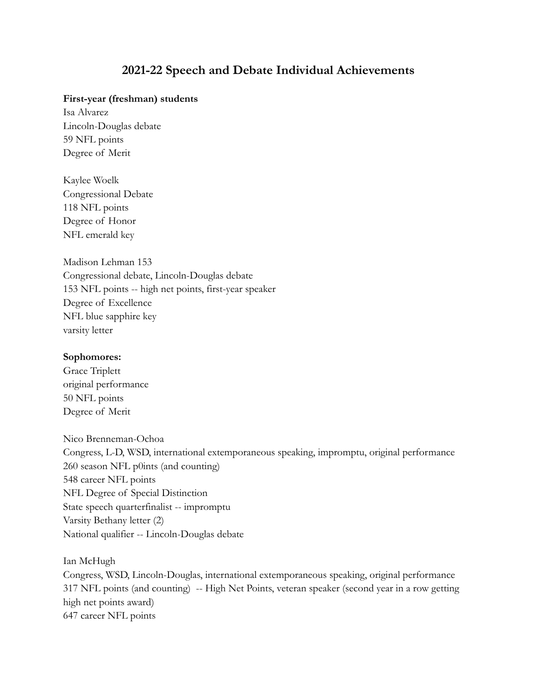# **2021-22 Speech and Debate Individual Achievements**

### **First-year (freshman) students**

Isa Alvarez Lincoln-Douglas debate 59 NFL points Degree of Merit

Kaylee Woelk Congressional Debate 118 NFL points Degree of Honor NFL emerald key

Madison Lehman 153 Congressional debate, Lincoln-Douglas debate 153 NFL points -- high net points, first-year speaker Degree of Excellence NFL blue sapphire key varsity letter

#### **Sophomores:**

Grace Triplett original performance 50 NFL points Degree of Merit

Nico Brenneman-Ochoa Congress, L-D, WSD, international extemporaneous speaking, impromptu, original performance 260 season NFL p0ints (and counting) 548 career NFL points NFL Degree of Special Distinction State speech quarterfinalist -- impromptu Varsity Bethany letter (2) National qualifier -- Lincoln-Douglas debate

Ian McHugh

Congress, WSD, Lincoln-Douglas, international extemporaneous speaking, original performance 317 NFL points (and counting) -- High Net Points, veteran speaker (second year in a row getting high net points award) 647 career NFL points